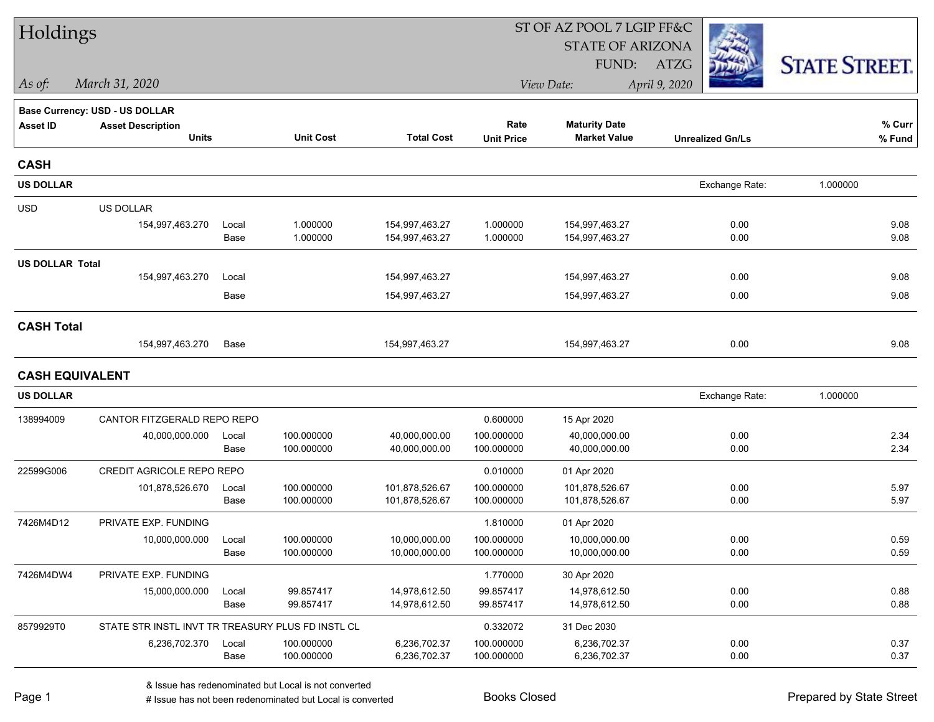| Holdings               |                                                   |       |                  |                   |                   | ST OF AZ POOL 7 LGIP FF&C |                         |                      |
|------------------------|---------------------------------------------------|-------|------------------|-------------------|-------------------|---------------------------|-------------------------|----------------------|
|                        |                                                   |       |                  |                   |                   | <b>STATE OF ARIZONA</b>   |                         |                      |
|                        |                                                   |       |                  |                   |                   | FUND:                     | ATZG                    | <b>STATE STREET.</b> |
| As of:                 | March 31, 2020                                    |       |                  |                   |                   | View Date:                | April 9, 2020           |                      |
|                        | Base Currency: USD - US DOLLAR                    |       |                  |                   |                   |                           |                         |                      |
| <b>Asset ID</b>        | <b>Asset Description</b>                          |       |                  |                   | Rate              | <b>Maturity Date</b>      |                         | % Curr               |
|                        | <b>Units</b>                                      |       | <b>Unit Cost</b> | <b>Total Cost</b> | <b>Unit Price</b> | <b>Market Value</b>       | <b>Unrealized Gn/Ls</b> | % Fund               |
| <b>CASH</b>            |                                                   |       |                  |                   |                   |                           |                         |                      |
| <b>US DOLLAR</b>       |                                                   |       |                  |                   |                   |                           | Exchange Rate:          | 1.000000             |
| <b>USD</b>             | US DOLLAR                                         |       |                  |                   |                   |                           |                         |                      |
|                        | 154,997,463.270                                   | Local | 1.000000         | 154,997,463.27    | 1.000000          | 154,997,463.27            | 0.00                    | 9.08                 |
|                        |                                                   | Base  | 1.000000         | 154,997,463.27    | 1.000000          | 154,997,463.27            | 0.00                    | 9.08                 |
| <b>US DOLLAR Total</b> |                                                   |       |                  |                   |                   |                           |                         |                      |
|                        | 154,997,463.270                                   | Local |                  | 154,997,463.27    |                   | 154,997,463.27            | 0.00                    | 9.08                 |
|                        |                                                   | Base  |                  | 154,997,463.27    |                   | 154,997,463.27            | 0.00                    | 9.08                 |
| <b>CASH Total</b>      |                                                   |       |                  |                   |                   |                           |                         |                      |
|                        | 154,997,463.270                                   | Base  |                  | 154,997,463.27    |                   | 154,997,463.27            | 0.00                    | 9.08                 |
| <b>CASH EQUIVALENT</b> |                                                   |       |                  |                   |                   |                           |                         |                      |
| <b>US DOLLAR</b>       |                                                   |       |                  |                   |                   |                           | Exchange Rate:          | 1.000000             |
| 138994009              | CANTOR FITZGERALD REPO REPO                       |       |                  |                   | 0.600000          | 15 Apr 2020               |                         |                      |
|                        | 40,000,000.000                                    | Local | 100.000000       | 40,000,000.00     | 100.000000        | 40,000,000.00             | 0.00                    | 2.34                 |
|                        |                                                   | Base  | 100.000000       | 40,000,000.00     | 100.000000        | 40,000,000.00             | 0.00                    | 2.34                 |
| 22599G006              | CREDIT AGRICOLE REPO REPO                         |       |                  |                   | 0.010000          | 01 Apr 2020               |                         |                      |
|                        | 101,878,526.670                                   | Local | 100.000000       | 101,878,526.67    | 100.000000        | 101,878,526.67            | 0.00                    | 5.97                 |
|                        |                                                   | Base  | 100.000000       | 101,878,526.67    | 100.000000        | 101,878,526.67            | 0.00                    | 5.97                 |
| 7426M4D12              | PRIVATE EXP. FUNDING                              |       |                  |                   | 1.810000          | 01 Apr 2020               |                         |                      |
|                        | 10,000,000.000                                    | Local | 100.000000       | 10,000,000.00     | 100.000000        | 10,000,000.00             | 0.00                    | 0.59                 |
|                        |                                                   | Base  | 100.000000       | 10,000,000.00     | 100.000000        | 10,000,000.00             | 0.00                    | 0.59                 |
| 7426M4DW4              | PRIVATE EXP. FUNDING                              |       |                  |                   | 1.770000          | 30 Apr 2020               |                         |                      |
|                        | 15,000,000.000                                    | Local | 99.857417        | 14,978,612.50     | 99.857417         | 14,978,612.50             | 0.00                    | 0.88                 |
|                        |                                                   | Base  | 99.857417        | 14,978,612.50     | 99.857417         | 14,978,612.50             | 0.00                    | 0.88                 |
| 8579929T0              | STATE STR INSTL INVT TR TREASURY PLUS FD INSTL CL |       |                  |                   | 0.332072          | 31 Dec 2030               |                         |                      |
|                        | 6,236,702.370                                     | Local | 100.000000       | 6,236,702.37      | 100.000000        | 6,236,702.37              | 0.00                    | 0.37                 |
|                        |                                                   | Base  | 100.000000       | 6,236,702.37      | 100.000000        | 6,236,702.37              | 0.00                    | 0.37                 |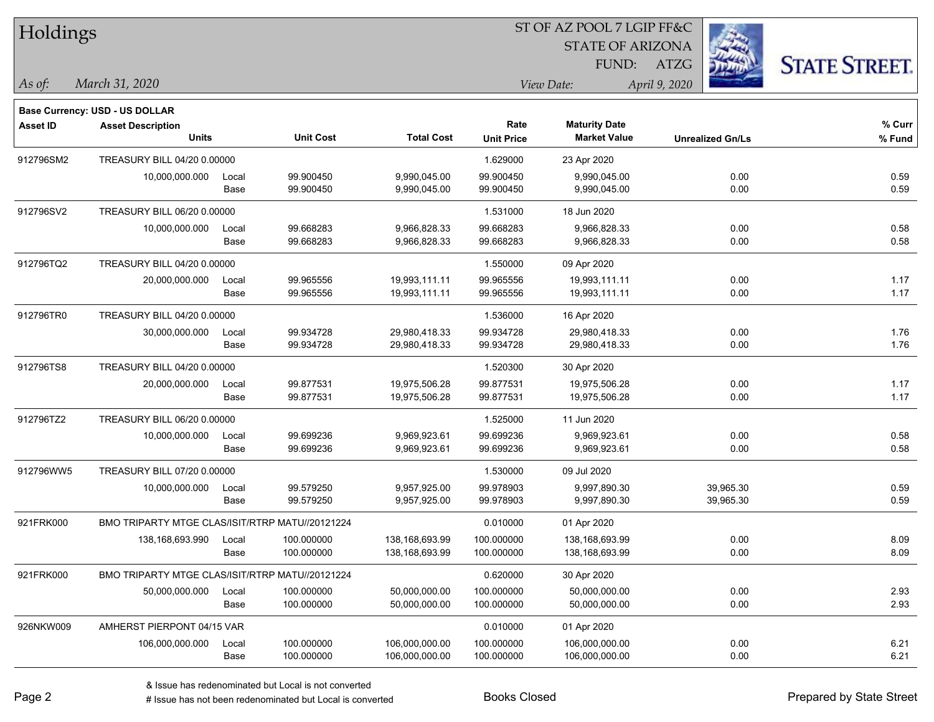| Holdings        |                                                                   |       |                  |                   |                   | ST OF AZ POOL 7 LGIP FF&C |                         |                      |
|-----------------|-------------------------------------------------------------------|-------|------------------|-------------------|-------------------|---------------------------|-------------------------|----------------------|
|                 |                                                                   |       |                  |                   |                   | <b>STATE OF ARIZONA</b>   |                         |                      |
|                 |                                                                   |       |                  |                   |                   | FUND:                     | <b>ATZG</b>             | <b>STATE STREET.</b> |
| As of:          | March 31, 2020                                                    |       |                  |                   |                   | View Date:                | April 9, 2020           |                      |
|                 |                                                                   |       |                  |                   |                   |                           |                         |                      |
| <b>Asset ID</b> | <b>Base Currency: USD - US DOLLAR</b><br><b>Asset Description</b> |       |                  |                   | Rate              | <b>Maturity Date</b>      |                         | % Curr               |
|                 | <b>Units</b>                                                      |       | <b>Unit Cost</b> | <b>Total Cost</b> | <b>Unit Price</b> | <b>Market Value</b>       | <b>Unrealized Gn/Ls</b> | % Fund               |
| 912796SM2       | TREASURY BILL 04/20 0.00000                                       |       |                  |                   | 1.629000          | 23 Apr 2020               |                         |                      |
|                 | 10,000,000.000                                                    | Local | 99.900450        | 9,990,045.00      | 99.900450         | 9,990,045.00              | 0.00                    | 0.59                 |
|                 |                                                                   | Base  | 99.900450        | 9,990,045.00      | 99.900450         | 9,990,045.00              | 0.00                    | 0.59                 |
| 912796SV2       | TREASURY BILL 06/20 0.00000                                       |       |                  |                   | 1.531000          | 18 Jun 2020               |                         |                      |
|                 | 10,000,000.000                                                    | Local | 99.668283        | 9,966,828.33      | 99.668283         | 9,966,828.33              | 0.00                    | 0.58                 |
|                 |                                                                   | Base  | 99.668283        | 9,966,828.33      | 99.668283         | 9,966,828.33              | 0.00                    | 0.58                 |
| 912796TQ2       | TREASURY BILL 04/20 0.00000                                       |       |                  |                   | 1.550000          | 09 Apr 2020               |                         |                      |
|                 | 20,000,000.000                                                    | Local | 99.965556        | 19,993,111.11     | 99.965556         | 19,993,111.11             | 0.00                    | 1.17                 |
|                 |                                                                   | Base  | 99.965556        | 19,993,111.11     | 99.965556         | 19,993,111.11             | 0.00                    | 1.17                 |
| 912796TR0       | TREASURY BILL 04/20 0.00000                                       |       |                  |                   | 1.536000          | 16 Apr 2020               |                         |                      |
|                 | 30,000,000.000                                                    | Local | 99.934728        | 29,980,418.33     | 99.934728         | 29,980,418.33             | 0.00                    | 1.76                 |
|                 |                                                                   | Base  | 99.934728        | 29,980,418.33     | 99.934728         | 29,980,418.33             | 0.00                    | 1.76                 |
| 912796TS8       | TREASURY BILL 04/20 0.00000                                       |       |                  |                   | 1.520300          | 30 Apr 2020               |                         |                      |
|                 | 20,000,000.000                                                    | Local | 99.877531        | 19,975,506.28     | 99.877531         | 19,975,506.28             | 0.00                    | 1.17                 |
|                 |                                                                   | Base  | 99.877531        | 19,975,506.28     | 99.877531         | 19,975,506.28             | 0.00                    | 1.17                 |
| 912796TZ2       | TREASURY BILL 06/20 0.00000                                       |       |                  |                   | 1.525000          | 11 Jun 2020               |                         |                      |
|                 | 10,000,000.000                                                    | Local | 99.699236        | 9,969,923.61      | 99.699236         | 9,969,923.61              | 0.00                    | 0.58                 |
|                 |                                                                   | Base  | 99.699236        | 9,969,923.61      | 99.699236         | 9,969,923.61              | 0.00                    | 0.58                 |
| 912796WW5       | TREASURY BILL 07/20 0.00000                                       |       |                  |                   | 1.530000          | 09 Jul 2020               |                         |                      |
|                 | 10,000,000.000                                                    | Local | 99.579250        | 9,957,925.00      | 99.978903         | 9,997,890.30              | 39,965.30               | 0.59                 |
|                 |                                                                   | Base  | 99.579250        | 9,957,925.00      | 99.978903         | 9,997,890.30              | 39,965.30               | 0.59                 |
| 921FRK000       | BMO TRIPARTY MTGE CLAS/ISIT/RTRP MATU//20121224                   |       |                  |                   | 0.010000          | 01 Apr 2020               |                         |                      |
|                 | 138,168,693.990                                                   | Local | 100.000000       | 138,168,693.99    | 100.000000        | 138,168,693.99            | 0.00                    | 8.09                 |
|                 |                                                                   | Base  | 100.000000       | 138,168,693.99    | 100.000000        | 138,168,693.99            | 0.00                    | 8.09                 |
| 921FRK000       | BMO TRIPARTY MTGE CLAS/ISIT/RTRP MATU//20121224                   |       |                  |                   | 0.620000          | 30 Apr 2020               |                         |                      |
|                 | 50,000,000.000                                                    | Local | 100.000000       | 50,000,000.00     | 100.000000        | 50,000,000.00             | 0.00                    | 2.93                 |
|                 |                                                                   | Base  | 100.000000       | 50,000,000.00     | 100.000000        | 50,000,000.00             | 0.00                    | 2.93                 |
| 926NKW009       | AMHERST PIERPONT 04/15 VAR                                        |       |                  |                   | 0.010000          | 01 Apr 2020               |                         |                      |
|                 | 106,000,000.000                                                   | Local | 100.000000       | 106,000,000.00    | 100.000000        | 106,000,000.00            | 0.00                    | 6.21                 |
|                 |                                                                   | Base  | 100.000000       | 106,000,000.00    | 100.000000        | 106,000,000.00            | 0.00                    | 6.21                 |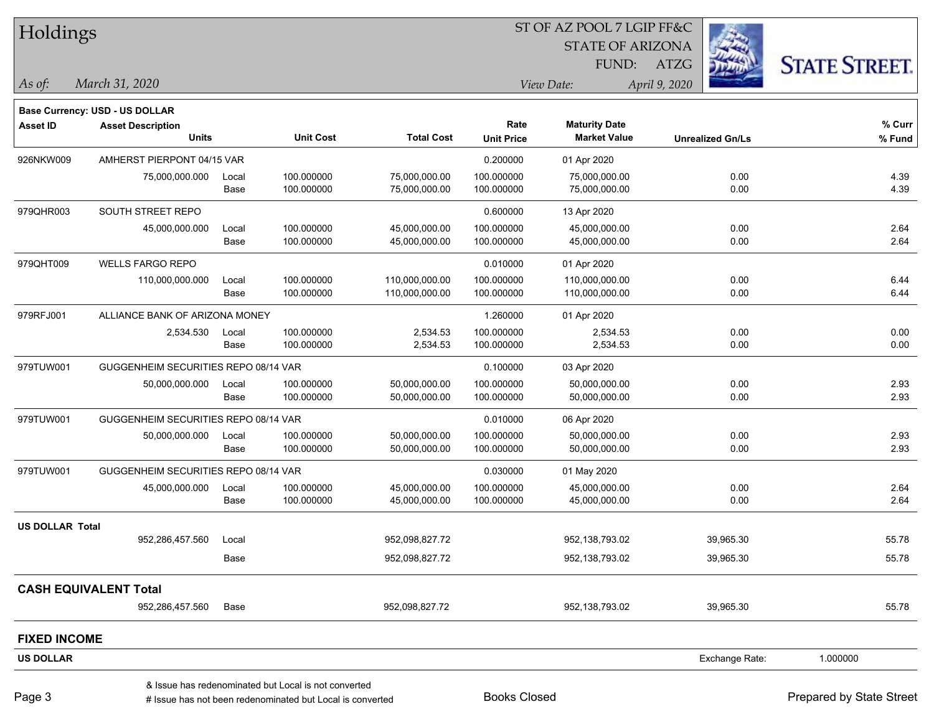ST OF AZ POOL 7 LGIP FF&C Holdings STATE OF ARIZONA **STATE STREET.** FUND: ATZG *March 31, 2020 As of: View Date: April 9, 2020* **Base Currency: USD - US DOLLAR Asset ID Asset Description Rate Maturity Date % Curr Units Unit Cost Total Cost Unit Price Market Value Unrealized Gn/Ls % Fund** 926NKW009 AMHERST PIERPONT 04/15 VAR 0.20000 001 Apr 2020 75,000,000.000 Local 100.000000 75,000,000.00 100.000000 75,000,000.00 0.00 4.39 Base 100.000000 75,000,000.00 100.000000 75,000,000.00 0.00 4.39 979QHR003 SOUTH STREET REPO 600000 SOUTH STREET REPO 45,000,000.000 Local 100.000000 45,000,000.00 100.000000 45,000,000.00 0.00 2.64 Base 100.000000 45,000,000.00 100.000000 45,000,000.00 0.00 2.64 979QHT009 WELLS FARGO REPO **0.010000 01 Apr 2020** 110,000,000.000 Local 100.000000 110,000,000.00 100.000000 110,000,000.00 0.00 6.44 Base 100.000000 110,000,000.00 100.000000 110,000,000.00 0.00 6.44 979RFJ001 ALLIANCE BANK OF ARIZONA MONEY 1.260000 01 Apr 2020 2,534.530 Local 100.000000 2,534.53 100.000000 2,534.53 0.00 0.00 Base 100.000000 2,534.53 100.000000 2,534.53 0.00 0.00 979TUW001 GUGGENHEIM SECURITIES REPO 08/14 VAR 0.10000 000 03 Apr 2020 50,000,000.000 Local 100.000000 50,000,000.00 100.000000 50,000,000.00 0.00 2.93 Base 100.000000 50,000,000.00 100.000000 50,000,000.00 0.00 2.93 979TUW001 GUGGENHEIM SECURITIES REPO 08/14 VAR 0.01000 06 Apr 2020 50,000,000.000 Local 100.000000 50,000,000.00 100.000000 50,000,000.00 0.00 2.93 Base 100.000000 50,000,000.00 100.000000 50,000,000.00 0.00 2.93 979TUW001 GUGGENHEIM SECURITIES REPO 08/14 VAR 0.03000 0000 01 May 2020 45,000,000.000 Local 100.000000 45,000,000.00 100.000000 45,000,000.00 0.00 2.64 Base 100.000000 45,000,000.00 100.000000 45,000,000.00 0.00 2.64 **US DOLLAR Total** 952,286,457.560 Local 952,098,827.72 952,138,793.02 39,965.30 55.78 Base 952,098,827.72 952,138,793.02 39,965.30 55.78 **CASH EQUIVALENT Total** 952,286,457.560 Base 952,098,827.72 952,138,793.02 39,965.30 55.78 **FIXED INCOME US DOLLAR** Exchange Rate: 1.000000 & Issue has redenominated but Local is not converted

Page 3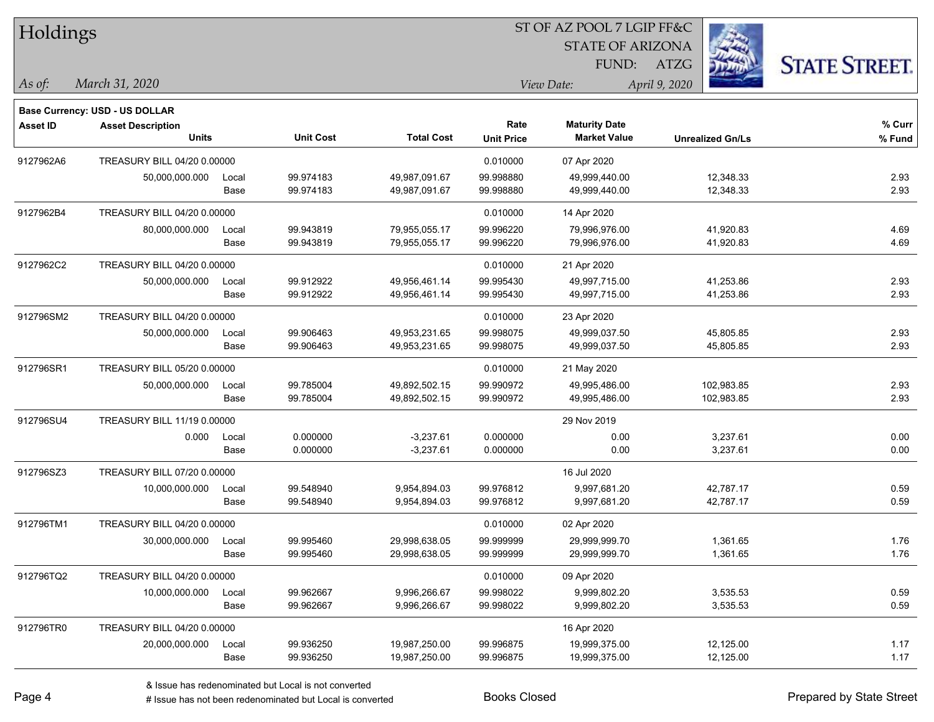|                 | Holdings                              |       |                  |                   |                   | ST OF AZ POOL 7 LGIP FF&C |                         |                      |  |  |  |
|-----------------|---------------------------------------|-------|------------------|-------------------|-------------------|---------------------------|-------------------------|----------------------|--|--|--|
|                 |                                       |       |                  |                   |                   | <b>STATE OF ARIZONA</b>   |                         |                      |  |  |  |
|                 |                                       |       |                  |                   |                   | FUND:                     | ATZG                    | <b>STATE STREET.</b> |  |  |  |
| As of:          | March 31, 2020                        |       |                  |                   |                   | View Date:                | April 9, 2020           |                      |  |  |  |
|                 | <b>Base Currency: USD - US DOLLAR</b> |       |                  |                   |                   |                           |                         |                      |  |  |  |
| <b>Asset ID</b> | <b>Asset Description</b>              |       |                  |                   | Rate              | <b>Maturity Date</b>      |                         | % Curr               |  |  |  |
|                 | <b>Units</b>                          |       | <b>Unit Cost</b> | <b>Total Cost</b> | <b>Unit Price</b> | <b>Market Value</b>       | <b>Unrealized Gn/Ls</b> | % Fund               |  |  |  |
| 9127962A6       | TREASURY BILL 04/20 0.00000           |       |                  |                   | 0.010000          | 07 Apr 2020               |                         |                      |  |  |  |
|                 | 50,000,000.000                        | Local | 99.974183        | 49,987,091.67     | 99.998880         | 49,999,440.00             | 12,348.33               | 2.93                 |  |  |  |
|                 |                                       | Base  | 99.974183        | 49,987,091.67     | 99.998880         | 49,999,440.00             | 12,348.33               | 2.93                 |  |  |  |
| 9127962B4       | TREASURY BILL 04/20 0.00000           |       |                  |                   | 0.010000          | 14 Apr 2020               |                         |                      |  |  |  |
|                 | 80,000,000.000                        | Local | 99.943819        | 79,955,055.17     | 99.996220         | 79,996,976.00             | 41,920.83               | 4.69                 |  |  |  |
|                 |                                       | Base  | 99.943819        | 79,955,055.17     | 99.996220         | 79,996,976.00             | 41,920.83               | 4.69                 |  |  |  |
| 9127962C2       | TREASURY BILL 04/20 0.00000           |       |                  |                   | 0.010000          | 21 Apr 2020               |                         |                      |  |  |  |
|                 | 50,000,000.000                        | Local | 99.912922        | 49,956,461.14     | 99.995430         | 49,997,715.00             | 41,253.86               | 2.93                 |  |  |  |
|                 |                                       | Base  | 99.912922        | 49,956,461.14     | 99.995430         | 49,997,715.00             | 41,253.86               | 2.93                 |  |  |  |
| 912796SM2       | TREASURY BILL 04/20 0.00000           |       |                  |                   | 0.010000          | 23 Apr 2020               |                         |                      |  |  |  |
|                 | 50,000,000.000                        | Local | 99.906463        | 49,953,231.65     | 99.998075         | 49,999,037.50             | 45,805.85               | 2.93                 |  |  |  |
|                 |                                       | Base  | 99.906463        | 49,953,231.65     | 99.998075         | 49,999,037.50             | 45,805.85               | 2.93                 |  |  |  |
| 912796SR1       | TREASURY BILL 05/20 0.00000           |       |                  |                   | 0.010000          | 21 May 2020               |                         |                      |  |  |  |
|                 | 50,000,000.000                        | Local | 99.785004        | 49,892,502.15     | 99.990972         | 49,995,486.00             | 102,983.85              | 2.93                 |  |  |  |
|                 |                                       | Base  | 99.785004        | 49,892,502.15     | 99.990972         | 49,995,486.00             | 102,983.85              | 2.93                 |  |  |  |
| 912796SU4       | <b>TREASURY BILL 11/19 0.00000</b>    |       |                  |                   |                   | 29 Nov 2019               |                         |                      |  |  |  |
|                 | 0.000                                 | Local | 0.000000         | $-3,237.61$       | 0.000000          | 0.00                      | 3,237.61                | 0.00                 |  |  |  |
|                 |                                       | Base  | 0.000000         | $-3,237.61$       | 0.000000          | 0.00                      | 3,237.61                | 0.00                 |  |  |  |
| 912796SZ3       | TREASURY BILL 07/20 0.00000           |       |                  |                   |                   | 16 Jul 2020               |                         |                      |  |  |  |
|                 | 10,000,000.000                        | Local | 99.548940        | 9,954,894.03      | 99.976812         | 9,997,681.20              | 42,787.17               | 0.59                 |  |  |  |
|                 |                                       | Base  | 99.548940        | 9,954,894.03      | 99.976812         | 9,997,681.20              | 42,787.17               | 0.59                 |  |  |  |
| 912796TM1       | TREASURY BILL 04/20 0.00000           |       |                  |                   | 0.010000          | 02 Apr 2020               |                         |                      |  |  |  |
|                 | 30,000,000.000                        | Local | 99.995460        | 29,998,638.05     | 99.999999         | 29,999,999.70             | 1,361.65                | 1.76                 |  |  |  |
|                 |                                       | Base  | 99.995460        | 29,998,638.05     | 99.999999         | 29,999,999.70             | 1,361.65                | 1.76                 |  |  |  |
| 912796TQ2       | TREASURY BILL 04/20 0.00000           |       |                  |                   | 0.010000          | 09 Apr 2020               |                         |                      |  |  |  |
|                 | 10,000,000.000                        | Local | 99.962667        | 9,996,266.67      | 99.998022         | 9,999,802.20              | 3,535.53                | 0.59                 |  |  |  |
|                 |                                       | Base  | 99.962667        | 9,996,266.67      | 99.998022         | 9,999,802.20              | 3,535.53                | 0.59                 |  |  |  |
| 912796TR0       | TREASURY BILL 04/20 0.00000           |       |                  |                   |                   | 16 Apr 2020               |                         |                      |  |  |  |
|                 | 20,000,000.000                        | Local | 99.936250        | 19,987,250.00     | 99.996875         | 19,999,375.00             | 12,125.00               | 1.17                 |  |  |  |
|                 |                                       | Base  | 99.936250        | 19,987,250.00     | 99.996875         | 19,999,375.00             | 12,125.00               | 1.17                 |  |  |  |

٦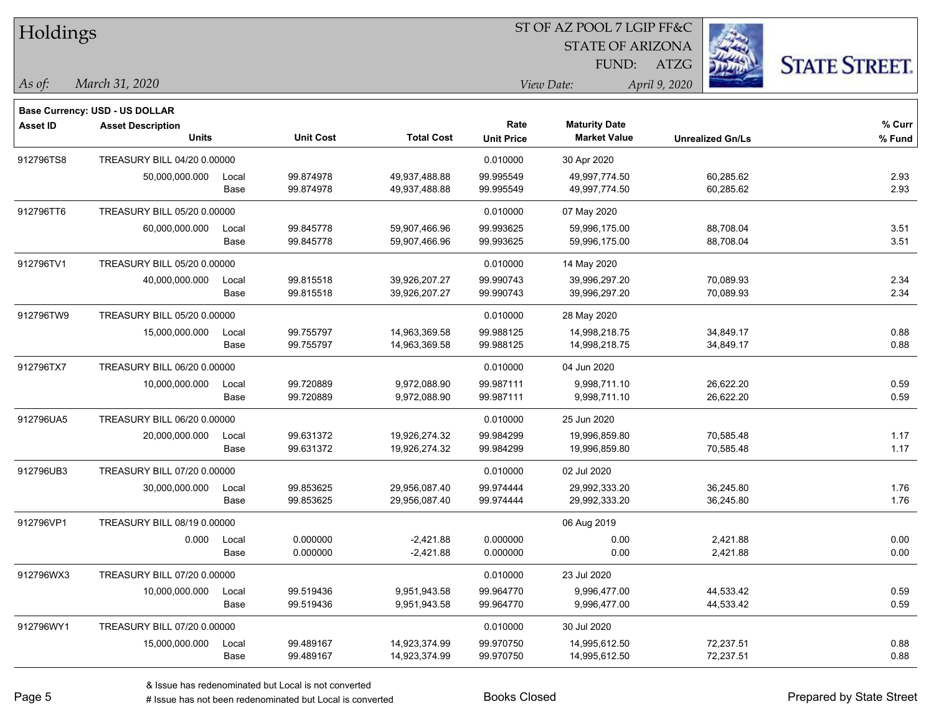| Holdings        |                                |       |                  |                   |                   | ST OF AZ POOL 7 LGIP FF&C |                         |                      |
|-----------------|--------------------------------|-------|------------------|-------------------|-------------------|---------------------------|-------------------------|----------------------|
|                 |                                |       |                  |                   |                   | <b>STATE OF ARIZONA</b>   |                         |                      |
|                 |                                |       |                  |                   |                   | FUND:                     | ATZG                    | <b>STATE STREET.</b> |
| As of:          | March 31, 2020                 |       |                  |                   |                   | View Date:                | April 9, 2020           |                      |
|                 | Base Currency: USD - US DOLLAR |       |                  |                   |                   |                           |                         |                      |
| <b>Asset ID</b> | <b>Asset Description</b>       |       |                  |                   | Rate              | <b>Maturity Date</b>      |                         | % Curr               |
|                 | Units                          |       | <b>Unit Cost</b> | <b>Total Cost</b> | <b>Unit Price</b> | <b>Market Value</b>       | <b>Unrealized Gn/Ls</b> | $%$ Fund             |
| 912796TS8       | TREASURY BILL 04/20 0.00000    |       |                  |                   | 0.010000          | 30 Apr 2020               |                         |                      |
|                 | 50,000,000.000                 | Local | 99.874978        | 49,937,488.88     | 99.995549         | 49,997,774.50             | 60,285.62               | 2.93                 |
|                 |                                | Base  | 99.874978        | 49,937,488.88     | 99.995549         | 49,997,774.50             | 60,285.62               | 2.93                 |
| 912796TT6       | TREASURY BILL 05/20 0.00000    |       |                  |                   | 0.010000          | 07 May 2020               |                         |                      |
|                 | 60,000,000.000                 | Local | 99.845778        | 59,907,466.96     | 99.993625         | 59,996,175.00             | 88,708.04               | 3.51                 |
|                 |                                | Base  | 99.845778        | 59,907,466.96     | 99.993625         | 59,996,175.00             | 88,708.04               | 3.51                 |
| 912796TV1       | TREASURY BILL 05/20 0.00000    |       |                  |                   | 0.010000          | 14 May 2020               |                         |                      |
|                 | 40,000,000.000                 | Local | 99.815518        | 39,926,207.27     | 99.990743         | 39,996,297.20             | 70,089.93               | 2.34                 |
|                 |                                | Base  | 99.815518        | 39,926,207.27     | 99.990743         | 39,996,297.20             | 70,089.93               | 2.34                 |
| 912796TW9       | TREASURY BILL 05/20 0.00000    |       |                  |                   | 0.010000          | 28 May 2020               |                         |                      |
|                 | 15,000,000.000                 | Local | 99.755797        | 14,963,369.58     | 99.988125         | 14,998,218.75             | 34,849.17               | 0.88                 |
|                 |                                | Base  | 99.755797        | 14,963,369.58     | 99.988125         | 14,998,218.75             | 34,849.17               | 0.88                 |
| 912796TX7       | TREASURY BILL 06/20 0.00000    |       |                  |                   | 0.010000          | 04 Jun 2020               |                         |                      |
|                 | 10,000,000.000                 | Local | 99.720889        | 9,972,088.90      | 99.987111         | 9,998,711.10              | 26,622.20               | 0.59                 |
|                 |                                | Base  | 99.720889        | 9,972,088.90      | 99.987111         | 9,998,711.10              | 26,622.20               | 0.59                 |
| 912796UA5       | TREASURY BILL 06/20 0.00000    |       |                  |                   | 0.010000          | 25 Jun 2020               |                         |                      |
|                 | 20,000,000.000                 | Local | 99.631372        | 19,926,274.32     | 99.984299         | 19,996,859.80             | 70,585.48               | 1.17                 |
|                 |                                | Base  | 99.631372        | 19,926,274.32     | 99.984299         | 19,996,859.80             | 70,585.48               | 1.17                 |
| 912796UB3       | TREASURY BILL 07/20 0.00000    |       |                  |                   | 0.010000          | 02 Jul 2020               |                         |                      |
|                 | 30,000,000.000                 | Local | 99.853625        | 29,956,087.40     | 99.974444         | 29,992,333.20             | 36,245.80               | 1.76                 |
|                 |                                | Base  | 99.853625        | 29,956,087.40     | 99.974444         | 29,992,333.20             | 36,245.80               | 1.76                 |
| 912796VP1       | TREASURY BILL 08/19 0.00000    |       |                  |                   |                   | 06 Aug 2019               |                         |                      |
|                 | 0.000                          | Local | 0.000000         | $-2,421.88$       | 0.000000          | 0.00                      | 2,421.88                | 0.00                 |
|                 |                                | Base  | 0.000000         | $-2,421.88$       | 0.000000          | 0.00                      | 2,421.88                | 0.00                 |
| 912796WX3       | TREASURY BILL 07/20 0.00000    |       |                  |                   | 0.010000          | 23 Jul 2020               |                         |                      |
|                 | 10,000,000.000                 | Local | 99.519436        | 9,951,943.58      | 99.964770         | 9,996,477.00              | 44,533.42               | 0.59                 |
|                 |                                | Base  | 99.519436        | 9,951,943.58      | 99.964770         | 9,996,477.00              | 44,533.42               | 0.59                 |
| 912796WY1       | TREASURY BILL 07/20 0.00000    |       |                  |                   | 0.010000          | 30 Jul 2020               |                         |                      |
|                 | 15,000,000.000                 | Local | 99.489167        | 14,923,374.99     | 99.970750         | 14,995,612.50             | 72,237.51               | 0.88                 |
|                 |                                | Base  | 99.489167        | 14,923,374.99     | 99.970750         | 14,995,612.50             | 72,237.51               | 0.88                 |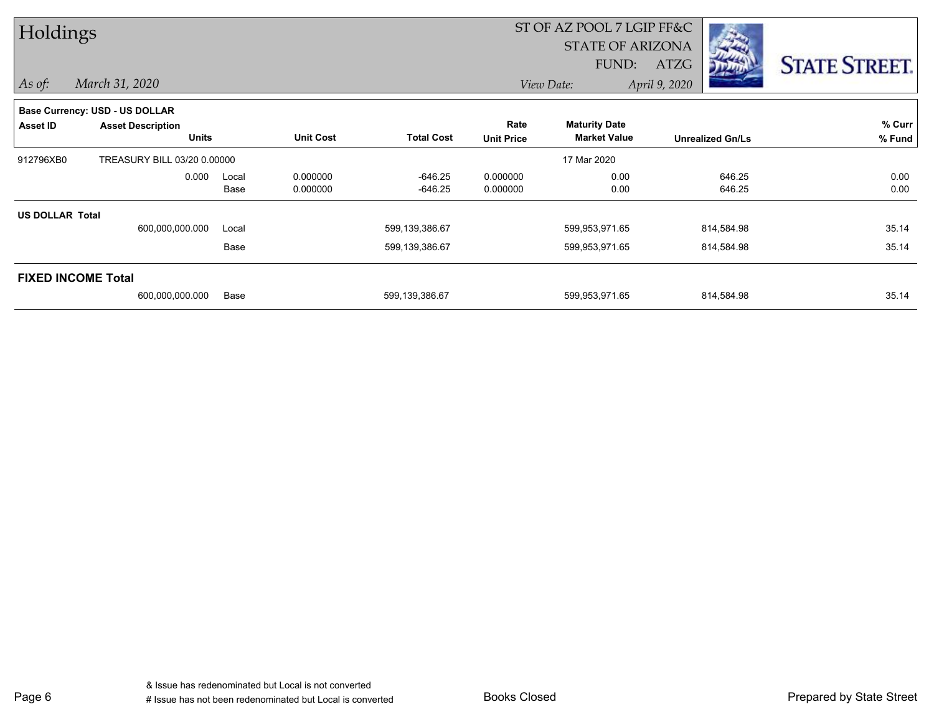| Holdings               |                                       |       |                  | ST OF AZ POOL 7 LGIP FF&C |                   |                         |                         |                      |
|------------------------|---------------------------------------|-------|------------------|---------------------------|-------------------|-------------------------|-------------------------|----------------------|
|                        |                                       |       |                  |                           |                   | <b>STATE OF ARIZONA</b> |                         |                      |
|                        |                                       |       |                  |                           |                   | FUND:                   | <b>ATZG</b>             | <b>STATE STREET.</b> |
| $\vert$ As of:         | March 31, 2020                        |       |                  |                           |                   | View Date:              | April 9, 2020           |                      |
|                        | <b>Base Currency: USD - US DOLLAR</b> |       |                  |                           |                   |                         |                         |                      |
| <b>Asset ID</b>        | <b>Asset Description</b>              |       |                  |                           | Rate              | <b>Maturity Date</b>    |                         | % Curr               |
|                        | <b>Units</b>                          |       | <b>Unit Cost</b> | <b>Total Cost</b>         | <b>Unit Price</b> | <b>Market Value</b>     | <b>Unrealized Gn/Ls</b> | % Fund               |
| 912796XB0              | TREASURY BILL 03/20 0.00000           |       |                  |                           |                   | 17 Mar 2020             |                         |                      |
|                        | 0.000                                 | Local | 0.000000         | -646.25                   | 0.000000          | 0.00                    | 646.25                  | 0.00                 |
|                        |                                       | Base  | 0.000000         | $-646.25$                 | 0.000000          | 0.00                    | 646.25                  | 0.00                 |
| <b>US DOLLAR Total</b> |                                       |       |                  |                           |                   |                         |                         |                      |
|                        | 600,000,000.000                       | Local |                  | 599,139,386.67            |                   | 599,953,971.65          | 814,584.98              | 35.14                |
|                        |                                       | Base  |                  | 599,139,386.67            |                   | 599,953,971.65          | 814,584.98              | 35.14                |
|                        | <b>FIXED INCOME Total</b>             |       |                  |                           |                   |                         |                         |                      |
|                        | 600,000,000.000                       | Base  |                  | 599,139,386.67            |                   | 599,953,971.65          | 814,584.98              | 35.14                |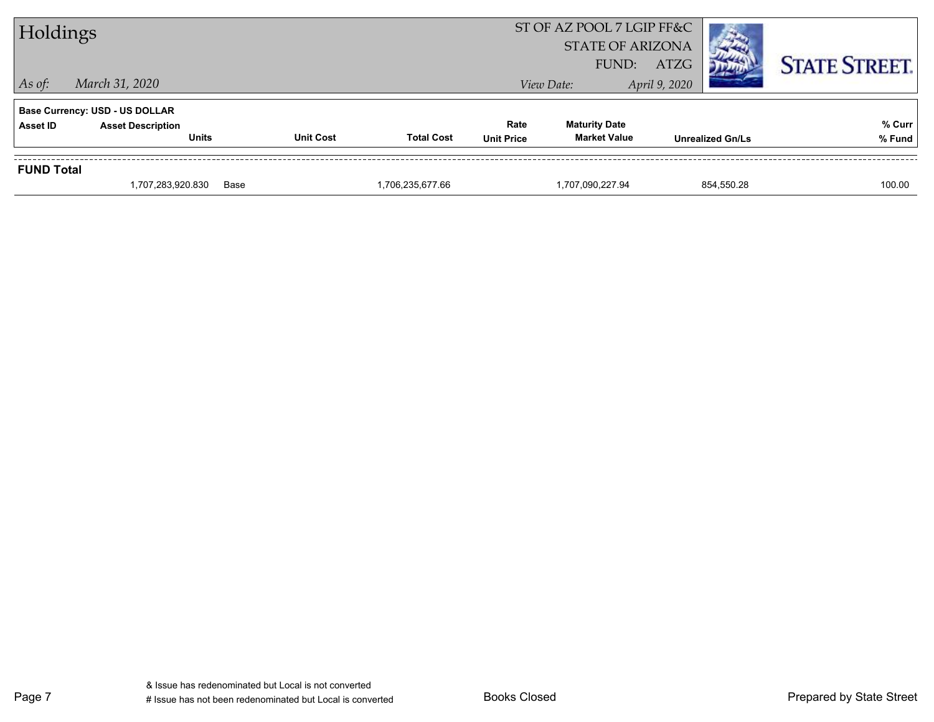| Holdings                                                 |                                          |                  |                   |                           | ST OF AZ POOL 7 LGIP FF&C<br><b>STATE OF ARIZONA</b><br>FUND: | <b>ATZG</b>             | <b>STATE STREET.</b> |
|----------------------------------------------------------|------------------------------------------|------------------|-------------------|---------------------------|---------------------------------------------------------------|-------------------------|----------------------|
| $\vert$ As of:<br>March 31, 2020                         |                                          |                  |                   |                           | View Date:                                                    | April 9, 2020           |                      |
| <b>Base Currency: USD - US DOLLAR</b><br><b>Asset ID</b> | <b>Asset Description</b><br><b>Units</b> | <b>Unit Cost</b> | <b>Total Cost</b> | Rate<br><b>Unit Price</b> | <b>Maturity Date</b><br><b>Market Value</b>                   | <b>Unrealized Gn/Ls</b> | % Curr<br>% Fund     |
| <b>FUND Total</b>                                        | 1,707,283,920.830                        | Base             | 1,706,235,677.66  |                           | 1,707,090,227.94                                              | 854,550.28              | 100.00               |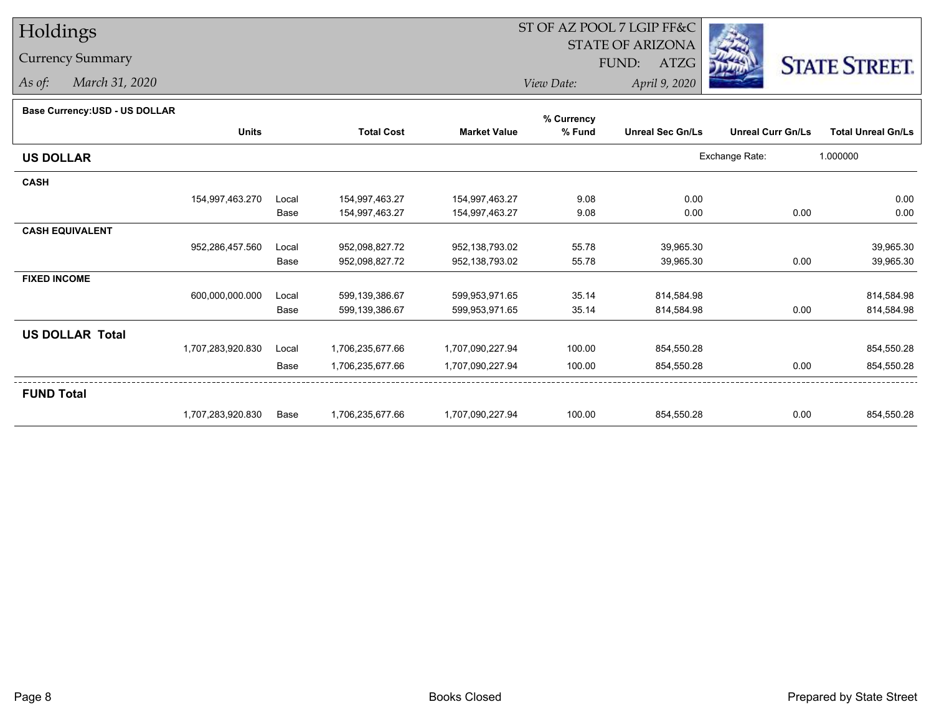## Holdings

## Currency Summary

*As of: March 31, 2020*

## ST OF AZ POOL 7 LGIP FF&C

STATE OF ARIZONA

FUND: ATZG



*View Date:April 9, 2020*

## **Base Currency:USD - US DOLLAR**

|                        |                   |       |                   |                     | % Currency |                         |                          |                           |
|------------------------|-------------------|-------|-------------------|---------------------|------------|-------------------------|--------------------------|---------------------------|
|                        | <b>Units</b>      |       | <b>Total Cost</b> | <b>Market Value</b> | % Fund     | <b>Unreal Sec Gn/Ls</b> | <b>Unreal Curr Gn/Ls</b> | <b>Total Unreal Gn/Ls</b> |
| <b>US DOLLAR</b>       |                   |       |                   |                     |            |                         | Exchange Rate:           | 1.000000                  |
| <b>CASH</b>            |                   |       |                   |                     |            |                         |                          |                           |
|                        | 154,997,463.270   | Local | 154,997,463.27    | 154,997,463.27      | 9.08       | 0.00                    |                          | 0.00                      |
|                        |                   | Base  | 154,997,463.27    | 154,997,463.27      | 9.08       | 0.00                    | 0.00                     | 0.00                      |
| <b>CASH EQUIVALENT</b> |                   |       |                   |                     |            |                         |                          |                           |
|                        | 952,286,457.560   | Local | 952,098,827.72    | 952,138,793.02      | 55.78      | 39,965.30               |                          | 39,965.30                 |
|                        |                   | Base  | 952,098,827.72    | 952,138,793.02      | 55.78      | 39,965.30               | 0.00                     | 39,965.30                 |
| <b>FIXED INCOME</b>    |                   |       |                   |                     |            |                         |                          |                           |
|                        | 600,000,000.000   | Local | 599,139,386.67    | 599,953,971.65      | 35.14      | 814,584.98              |                          | 814,584.98                |
|                        |                   | Base  | 599,139,386.67    | 599,953,971.65      | 35.14      | 814,584.98              | 0.00                     | 814,584.98                |
| <b>US DOLLAR Total</b> |                   |       |                   |                     |            |                         |                          |                           |
|                        | 1,707,283,920.830 | Local | 1,706,235,677.66  | 1,707,090,227.94    | 100.00     | 854,550.28              |                          | 854,550.28                |
|                        |                   | Base  | 1,706,235,677.66  | 1,707,090,227.94    | 100.00     | 854,550.28              | 0.00                     | 854,550.28                |
| <b>FUND Total</b>      |                   |       |                   |                     |            |                         |                          |                           |
|                        | 1,707,283,920.830 | Base  | 1,706,235,677.66  | 1,707,090,227.94    | 100.00     | 854,550.28              | 0.00                     | 854,550.28                |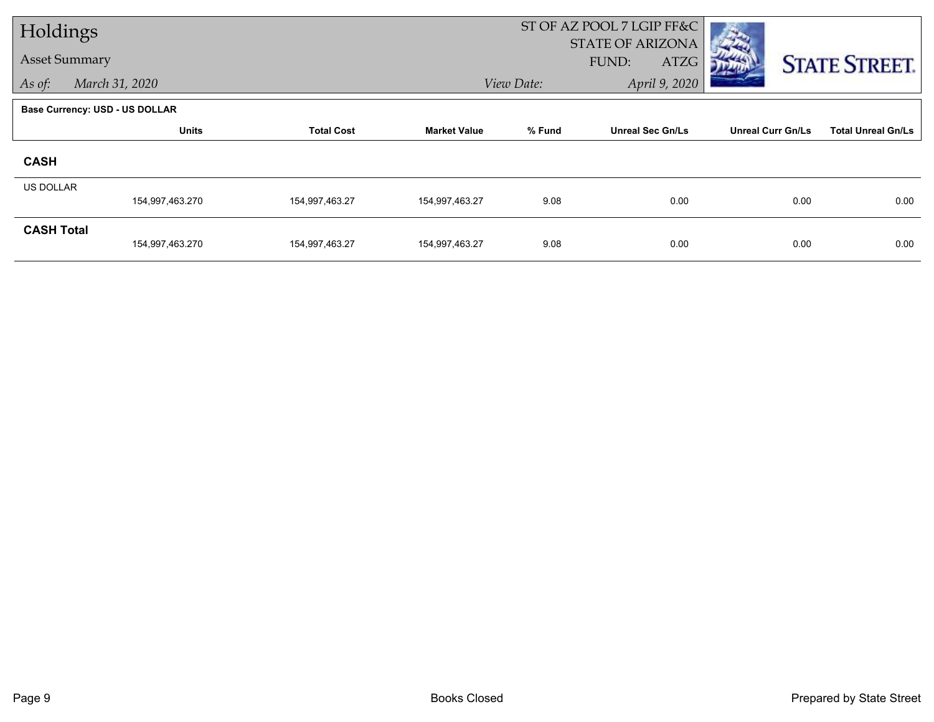| Holdings          |                                       |                   |                     |            | ST OF AZ POOL 7 LGIP FF&C<br><b>STATE OF ARIZONA</b> |                          |                           |
|-------------------|---------------------------------------|-------------------|---------------------|------------|------------------------------------------------------|--------------------------|---------------------------|
|                   | <b>Asset Summary</b>                  |                   |                     |            | FUND:<br>ATZG                                        |                          | <b>STATE STREET.</b>      |
| As of:            | March 31, 2020                        |                   |                     | View Date: | April 9, 2020                                        |                          |                           |
|                   | <b>Base Currency: USD - US DOLLAR</b> |                   |                     |            |                                                      |                          |                           |
|                   | <b>Units</b>                          | <b>Total Cost</b> | <b>Market Value</b> | % Fund     | <b>Unreal Sec Gn/Ls</b>                              | <b>Unreal Curr Gn/Ls</b> | <b>Total Unreal Gn/Ls</b> |
| <b>CASH</b>       |                                       |                   |                     |            |                                                      |                          |                           |
| <b>US DOLLAR</b>  | 154,997,463.270                       | 154,997,463.27    | 154,997,463.27      | 9.08       | 0.00                                                 | 0.00                     | 0.00                      |
| <b>CASH Total</b> | 154,997,463.270                       | 154,997,463.27    | 154,997,463.27      | 9.08       | 0.00                                                 | 0.00                     | 0.00                      |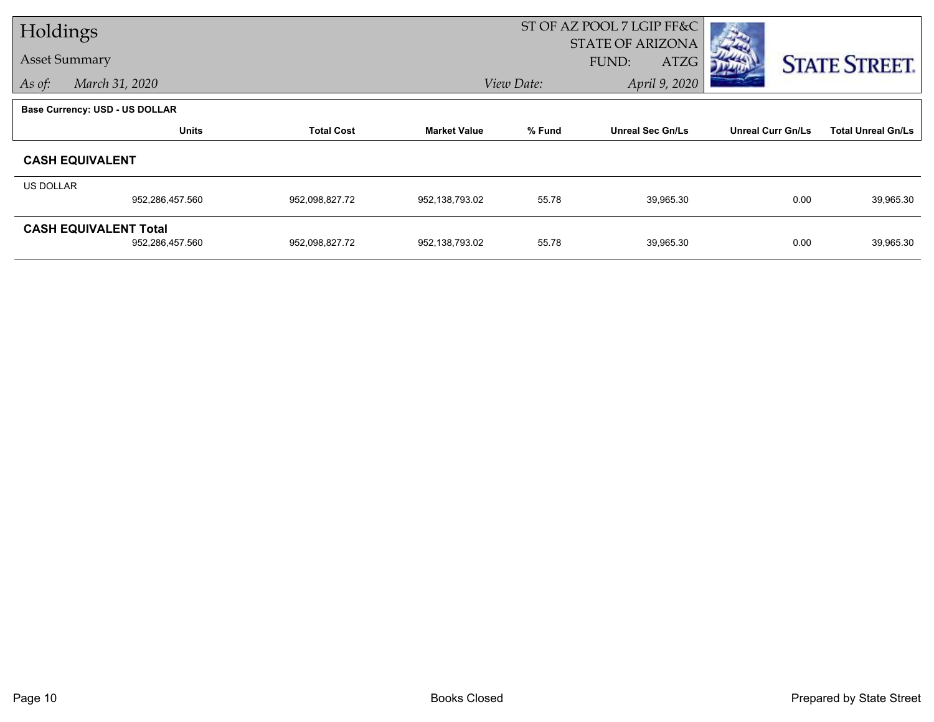|           | Holdings                       |                   |                     | ST OF AZ POOL 7 LGIP FF&C |                         |                          |                           |
|-----------|--------------------------------|-------------------|---------------------|---------------------------|-------------------------|--------------------------|---------------------------|
|           | <b>Asset Summary</b>           |                   |                     |                           | <b>STATE OF ARIZONA</b> |                          |                           |
|           |                                |                   |                     |                           | ATZG<br>FUND:           |                          | <b>STATE STREET.</b>      |
| As of:    | March 31, 2020                 |                   |                     | View Date:                | April 9, 2020           |                          |                           |
|           | Base Currency: USD - US DOLLAR |                   |                     |                           |                         |                          |                           |
|           | <b>Units</b>                   | <b>Total Cost</b> | <b>Market Value</b> | % Fund                    | <b>Unreal Sec Gn/Ls</b> | <b>Unreal Curr Gn/Ls</b> | <b>Total Unreal Gn/Ls</b> |
|           | <b>CASH EQUIVALENT</b>         |                   |                     |                           |                         |                          |                           |
| US DOLLAR |                                |                   |                     |                           |                         |                          |                           |
|           | 952,286,457.560                | 952,098,827.72    | 952,138,793.02      | 55.78                     | 39,965.30               | 0.00                     | 39,965.30                 |
|           | <b>CASH EQUIVALENT Total</b>   |                   |                     |                           |                         |                          |                           |
|           | 952,286,457.560                | 952,098,827.72    | 952,138,793.02      | 55.78                     | 39,965.30               | 0.00                     | 39,965.30                 |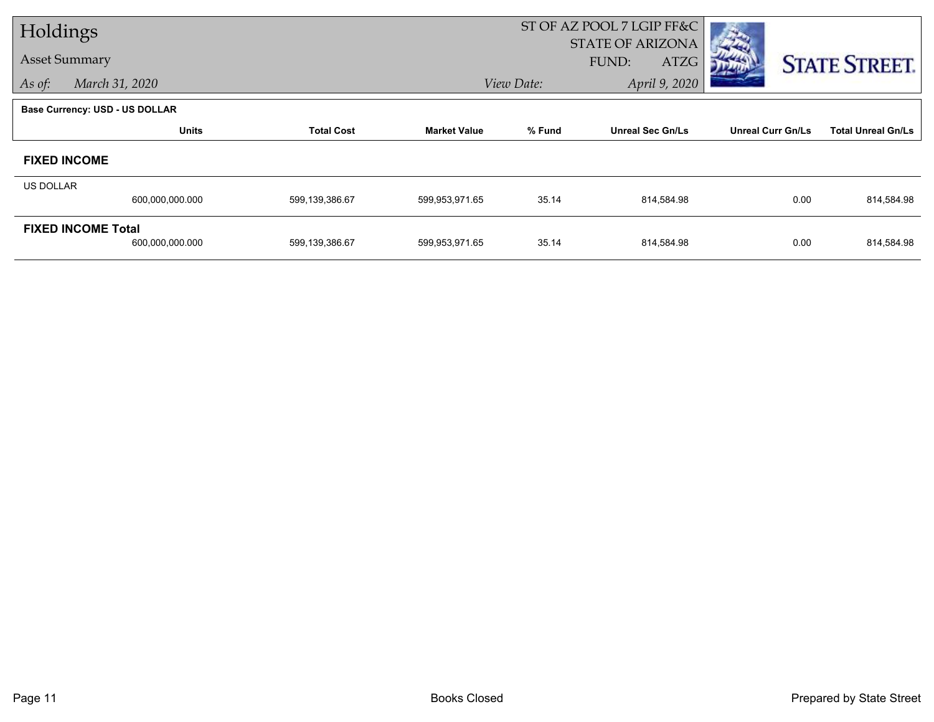|                  | Holdings                                     |                   |                     |            | ST OF AZ POOL 7 LGIP FF&C                |                          |                           |
|------------------|----------------------------------------------|-------------------|---------------------|------------|------------------------------------------|--------------------------|---------------------------|
|                  | <b>Asset Summary</b>                         |                   |                     |            | <b>STATE OF ARIZONA</b><br>FUND:<br>ATZG |                          | <b>STATE STREET.</b>      |
| As of:           | March 31, 2020                               |                   |                     | View Date: | April 9, 2020                            |                          |                           |
|                  | <b>Base Currency: USD - US DOLLAR</b>        |                   |                     |            |                                          |                          |                           |
|                  | <b>Units</b>                                 | <b>Total Cost</b> | <b>Market Value</b> | % Fund     | <b>Unreal Sec Gn/Ls</b>                  | <b>Unreal Curr Gn/Ls</b> | <b>Total Unreal Gn/Ls</b> |
|                  | <b>FIXED INCOME</b>                          |                   |                     |            |                                          |                          |                           |
| <b>US DOLLAR</b> |                                              |                   |                     |            |                                          |                          |                           |
|                  | 600,000,000.000                              | 599,139,386.67    | 599,953,971.65      | 35.14      | 814,584.98                               | 0.00                     | 814,584.98                |
|                  | <b>FIXED INCOME Total</b><br>600,000,000.000 | 599,139,386.67    | 599,953,971.65      | 35.14      | 814,584.98                               | 0.00                     | 814,584.98                |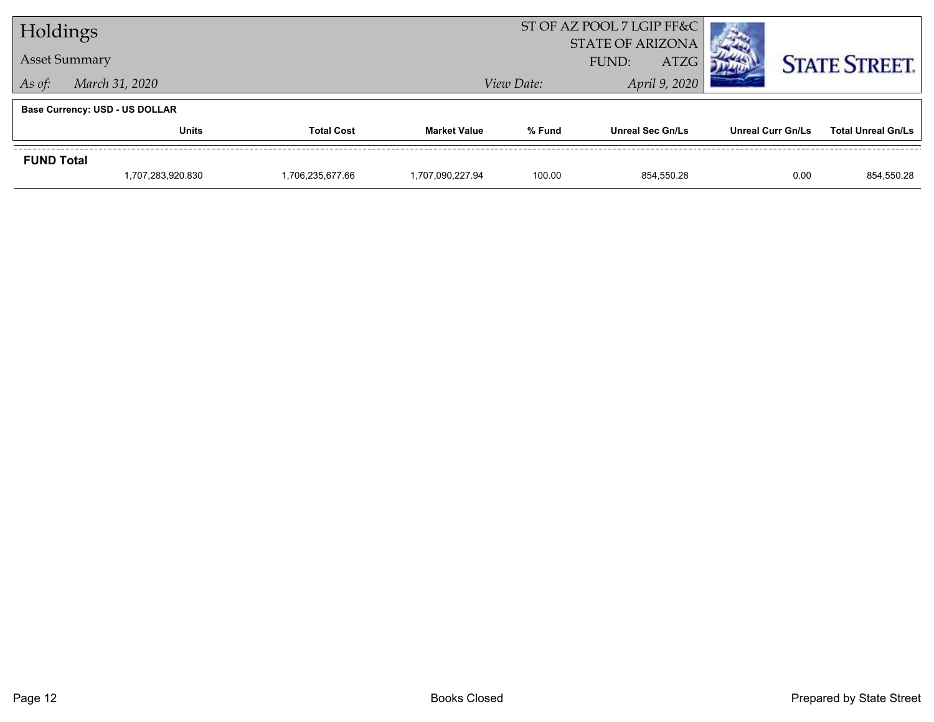| Holdings          |                                       |                   |                     |                         | ST OF AZ POOL 7 LGIP FF&C |                          |                           |
|-------------------|---------------------------------------|-------------------|---------------------|-------------------------|---------------------------|--------------------------|---------------------------|
|                   |                                       |                   |                     | <b>STATE OF ARIZONA</b> |                           |                          |                           |
|                   | <b>Asset Summary</b>                  |                   |                     | <b>ATZG</b><br>FUND:    |                           |                          | <b>STATE STREET.</b>      |
|                   | March 31, 2020<br>As of:              |                   |                     | View Date:              | April 9, 2020             |                          |                           |
|                   | <b>Base Currency: USD - US DOLLAR</b> |                   |                     |                         |                           |                          |                           |
|                   | Units                                 | <b>Total Cost</b> | <b>Market Value</b> | % Fund                  | <b>Unreal Sec Gn/Ls</b>   | <b>Unreal Curr Gn/Ls</b> | <b>Total Unreal Gn/Ls</b> |
| <b>FUND Total</b> |                                       |                   |                     |                         |                           |                          |                           |
|                   | 1,707,283,920.830                     | 1,706,235,677.66  | 1.707.090.227.94    | 100.00                  | 854.550.28                | 0.00                     | 854,550.28                |